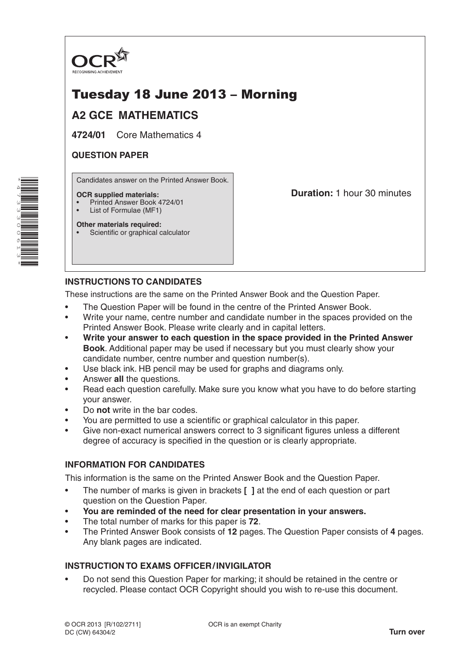

# Tuesday 18 June 2013 – Morning

# **A2 GCE MATHEMATICS**

**4724/01** Core Mathematics 4

#### **QUESTION PAPER**

Candidates answer on the Printed Answer Book.

#### **OCR supplied materials:**

- Printed Answer Book 4724/01
- List of Formulae (MF1)

**Other materials required:** • Scientific or graphical calculator **Duration:** 1 hour 30 minutes

## **INSTRUCTIONS TO CANDIDATES**

These instructions are the same on the Printed Answer Book and the Question Paper.

- The Question Paper will be found in the centre of the Printed Answer Book.
- Write your name, centre number and candidate number in the spaces provided on the Printed Answer Book. Please write clearly and in capital letters.
- **Write your answer to each question in the space provided in the Printed Answer Book**. Additional paper may be used if necessary but you must clearly show your candidate number, centre number and question number(s).
- Use black ink. HB pencil may be used for graphs and diagrams only.
- Answer **all** the questions.
- Read each question carefully. Make sure you know what you have to do before starting your answer.
- Do **not** write in the bar codes.
- You are permitted to use a scientific or graphical calculator in this paper.
- Give non-exact numerical answers correct to 3 significant figures unless a different degree of accuracy is specified in the question or is clearly appropriate.

### **INFORMATION FOR CANDIDATES**

This information is the same on the Printed Answer Book and the Question Paper.

- The number of marks is given in brackets **[ ]** at the end of each question or part question on the Question Paper.
- **You are reminded of the need for clear presentation in your answers.**
- The total number of marks for this paper is **72**.
- The Printed Answer Book consists of **12** pages. The Question Paper consists of **4** pages. Any blank pages are indicated.

### **INSTRUCTION TO EXAMS OFFICER/INVIGILATOR**

• Do not send this Question Paper for marking; it should be retained in the centre or recycled. Please contact OCR Copyright should you wish to re-use this document.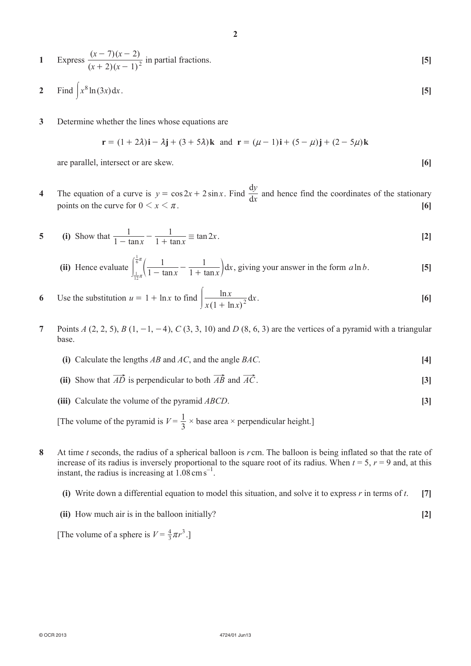1 Express 
$$
\frac{(x-7)(x-2)}{(x+2)(x-1)^2}
$$
 in partial fractions. [5]

**2**

- **2** Find  $x^8 \ln(3x) dx$ . [5]
- **3**  Determine whether the lines whose equations are

$$
\mathbf{r} = (1 + 2\lambda)\mathbf{i} - \lambda\mathbf{j} + (3 + 5\lambda)\mathbf{k} \text{ and } \mathbf{r} = (\mu - 1)\mathbf{i} + (5 - \mu)\mathbf{j} + (2 - 5\mu)\mathbf{k}
$$

are parallel, intersect or are skew. **[6]**

**4** The equation of a curve is  $y = \cos 2x + 2 \sin x$ . Find  $\frac{dy}{dx}$ *y*  $\frac{dy}{dx}$  and hence find the coordinates of the stationary points on the curve for  $0 \le x \le \pi$ . **[6]** 

5 (i) Show that 
$$
\frac{1}{1 - \tan x} - \frac{1}{1 + \tan x} \equiv \tan 2x
$$
. [2]

(ii) Hence evaluate 
$$
\int_{\frac{1}{12}\pi}^{\frac{1}{6}\pi} \left( \frac{1}{1 - \tan x} - \frac{1}{1 + \tan x} \right) dx
$$
, giving your answer in the form  $a \ln b$ . [5]

- **6** Use the substitution  $u = 1 + \ln x$  to find  $\left| \frac{\ln x}{x(1 + \ln x)} \right|$ ln  $x(1 + \ln x)$  $\int \frac{\ln x}{x(1 + \ln x)^2} dx$ . [6]
- **7** Points *A* (2, 2, 5), *B* (1, -1, -4), *C* (3, 3, 10) and *D* (8, 6, 3) are the vertices of a pyramid with a triangular base.
	- **(i)** Calculate the lengths *AB* and *AC*, and the angle *BAC*.  $[4]$
	- (ii) Show that  $\overrightarrow{AD}$  is perpendicular to both  $\overrightarrow{AB}$  and  $\overrightarrow{AC}$ . **[3]**
	- **(iii)** Calculate the volume of the pyramid *ABCD*. **[3]**

[The volume of the pyramid is  $V = \frac{1}{3} \times \text{base area} \times \text{perpendicular height.}$ ]

- **8**  At time *t* seconds, the radius of a spherical balloon is *r* cm. The balloon is being inflated so that the rate of increase of its radius is inversely proportional to the square root of its radius. When  $t = 5$ ,  $r = 9$  and, at this instant, the radius is increasing at  $1.08 \text{ cm s}^{-1}$ .
	- **(i)**  Write down a differential equation to model this situation, and solve it to express *r* in terms of *t*. **[7]**
	- **(ii)** How much air is in the balloon initially? **[2]**

[The volume of a sphere is  $V = \frac{4}{3}\pi r^3$ .]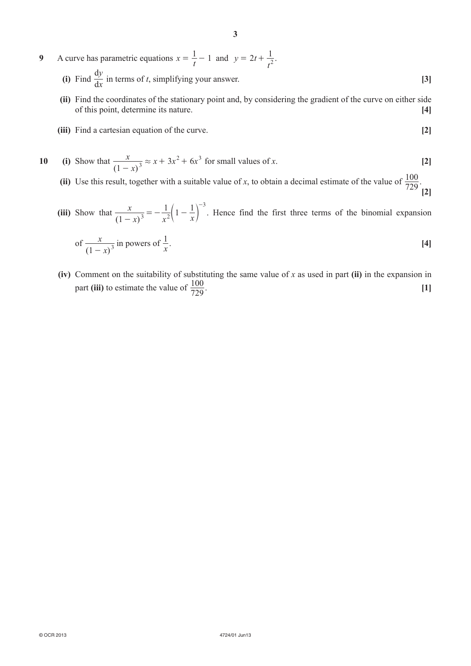- **9** A curve has parametric equations  $x = \frac{1}{t} 1$  and  $y = 2t$ *t*  $= 2t + \frac{1}{t^2}$ .  $\frac{dy}{dx}$ *y*  $\frac{dy}{dx}$  in terms of *t*, simplifying your answer. **[3]** 
	- **(ii)** Find the coordinates of the stationary point and, by considering the gradient of the curve on either side of this point, determine its nature. **[4]**
	- **(iii)** Find a cartesian equation of the curve. **[2]**

10 (i) Show that 
$$
\frac{x}{(1-x)^3} \approx x + 3x^2 + 6x^3
$$
 for small values of x. [2]

(ii) Use this result, together with a suitable value of *x*, to obtain a decimal estimate of the value of  $\frac{100}{729}$ .

**[2]**

 **(iii)**  Show that  $(1 - x)$ *x*  $1-x)^3$   $x^2$   $x^2$  $\frac{1}{3} = -\frac{1}{r^2}\left(1 - \frac{1}{r}\right)$ 3  $\frac{x}{(x-x)^3} = -\frac{1}{x^2} \left( 1 -$ -  $\left(1-\frac{1}{r}\right)$ . Hence find the first three terms of the binomial expansion

of 
$$
\frac{x}{(1-x)^3}
$$
 in powers of  $\frac{1}{x}$ . [4]

**(iv)** Comment on the suitability of substituting the same value of *x* as used in part **(ii)** in the expansion in part **(iii)** to estimate the value of  $\frac{100}{729}$ .  $\frac{100}{720}$  [1]